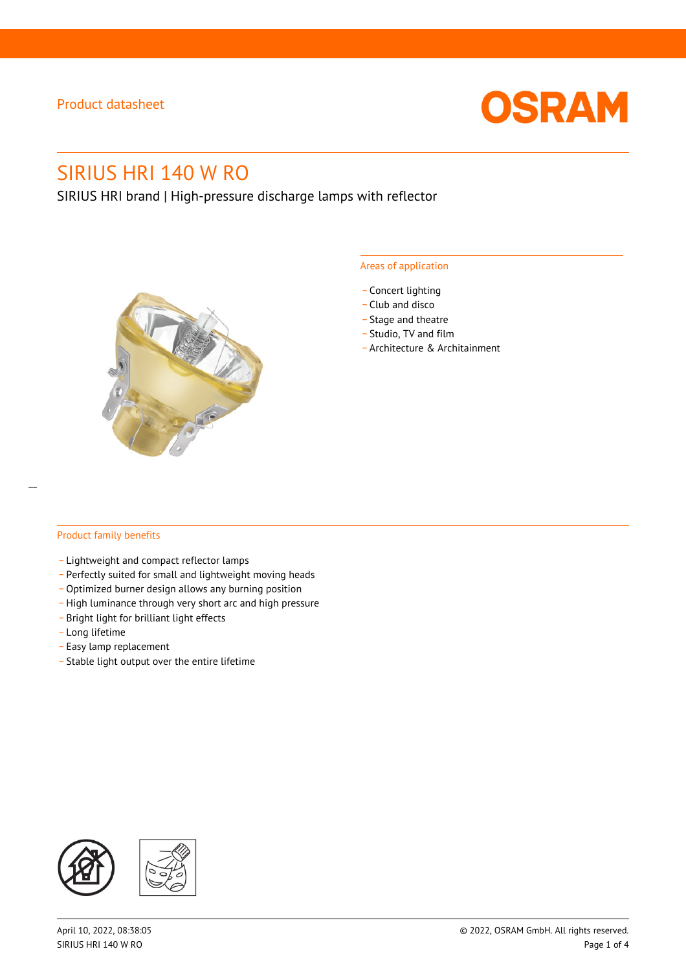

# SIRIUS HRI 140 W RO

SIRIUS HRI brand | High-pressure discharge lamps with reflector



#### Areas of application

- Concert lighting
- \_ Club and disco
- Stage and theatre
- \_ Studio, TV and film
- \_ Architecture & Architainment

#### Product family benefits

- \_ Lightweight and compact reflector lamps
- \_ Perfectly suited for small and lightweight moving heads
- Optimized burner design allows any burning position
- High luminance through very short arc and high pressure
- \_ Bright light for brilliant light effects
- \_ Long lifetime
- \_ Easy lamp replacement
- \_ Stable light output over the entire lifetime

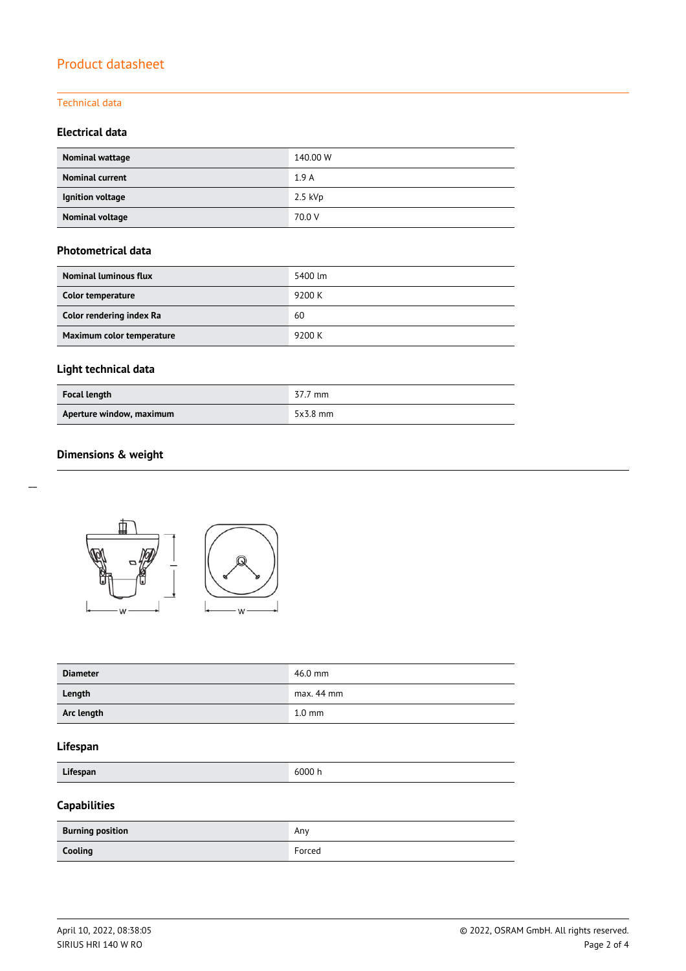#### Technical data

#### **Electrical data**

| Nominal wattage        | 140.00 W  |
|------------------------|-----------|
| <b>Nominal current</b> | 1.9A      |
| Ignition voltage       | $2.5$ kVp |
| <b>Nominal voltage</b> | 70.0 V    |

#### **Photometrical data**

| <b>Nominal luminous flux</b> | 5400 lm |
|------------------------------|---------|
| Color temperature            | 9200 K  |
| Color rendering index Ra     | 60      |
| Maximum color temperature    | 9200 K  |

# **Light technical data**

| <b>Focal length</b>      | 37.7 mm    |
|--------------------------|------------|
| Aperture window, maximum | $5x3.8$ mm |

### **Dimensions & weight**



| <b>Diameter</b> | 46.0 mm          |
|-----------------|------------------|
| Length          | $max. 44$ mm     |
| Arc length      | $1.0 \text{ mm}$ |

#### **Lifespan**

**Lifespan** 6000 h

# **Capabilities**

| <b>Burning position</b> | Any    |
|-------------------------|--------|
| Cooling                 | Forced |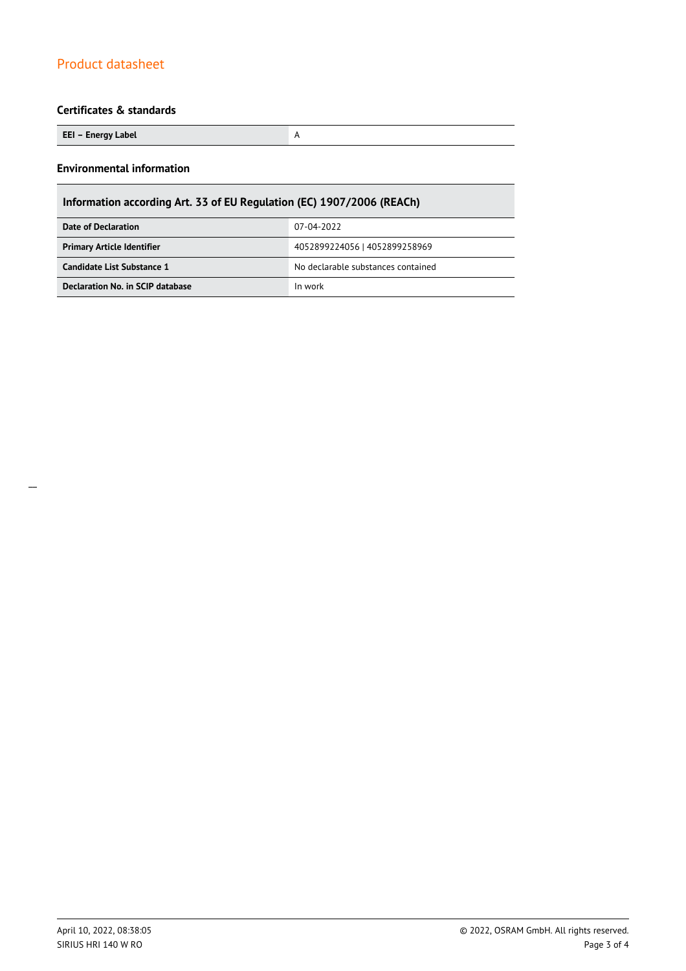### **Certificates & standards**

| EEI – Energy Label |  |
|--------------------|--|
|--------------------|--|

#### **Environmental information**

| Information according Art. 33 of EU Regulation (EC) 1907/2006 (REACh) |                                    |  |  |
|-----------------------------------------------------------------------|------------------------------------|--|--|
| 07-04-2022<br>Date of Declaration                                     |                                    |  |  |
| <b>Primary Article Identifier</b>                                     | 4052899224056   4052899258969      |  |  |
| Candidate List Substance 1                                            | No declarable substances contained |  |  |
| Declaration No. in SCIP database<br>In work                           |                                    |  |  |